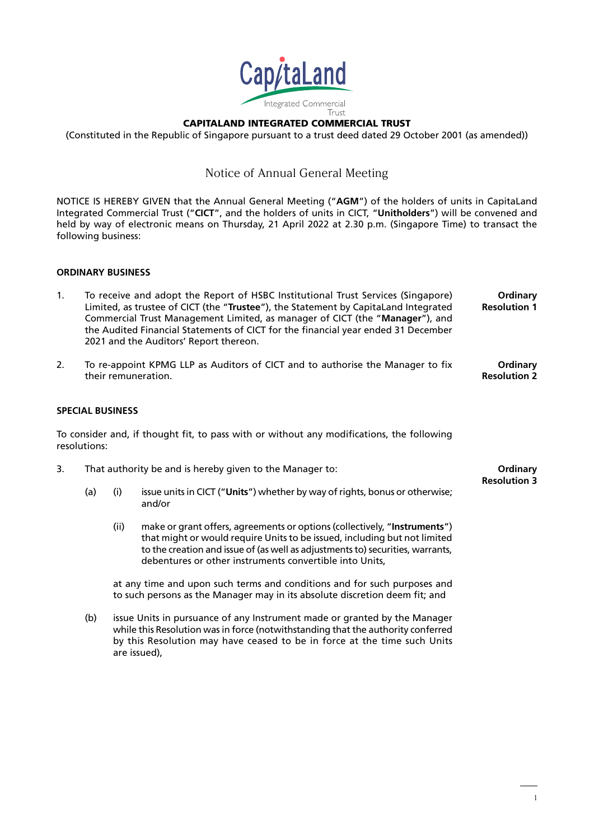

CAPITALAND INTEGRATED COMMERCIAL TRUST

(Constituted in the Republic of Singapore pursuant to a trust deed dated 29 October 2001 (as amended))

### Notice of Annual General Meeting

NOTICE IS HEREBY GIVEN that the Annual General Meeting ("**AGM**") of the holders of units in CapitaLand Integrated Commercial Trust ("**CICT**", and the holders of units in CICT, "**Unitholders**") will be convened and held by way of electronic means on Thursday, 21 April 2022 at 2.30 p.m. (Singapore Time) to transact the following business:

### **ORDINARY BUSINESS**

- 1. To receive and adopt the Report of HSBC Institutional Trust Services (Singapore) Limited, as trustee of CICT (the "**Trustee**"), the Statement by CapitaLand Integrated Commercial Trust Management Limited, as manager of CICT (the "**Manager**"), and the Audited Financial Statements of CICT for the financial year ended 31 December 2021 and the Auditors' Report thereon. **Ordinary Resolution 1**
- 2. To re-appoint KPMG LLP as Auditors of CICT and to authorise the Manager to fix their remuneration. **Ordinary Resolution 2**

### **SPECIAL BUSINESS**

To consider and, if thought fit, to pass with or without any modifications, the following resolutions:

- 3. That authority be and is hereby given to the Manager to:
	- (a) (i) issue units in CICT ("**Units**") whether by way of rights, bonus or otherwise; and/or
		- (ii) make or grant offers, agreements or options (collectively, "**Instruments**") that might or would require Units to be issued, including but not limited to the creation and issue of (as well as adjustments to) securities, warrants, debentures or other instruments convertible into Units,

at any time and upon such terms and conditions and for such purposes and to such persons as the Manager may in its absolute discretion deem fit; and

(b) issue Units in pursuance of any Instrument made or granted by the Manager while this Resolution was in force (notwithstanding that the authority conferred by this Resolution may have ceased to be in force at the time such Units are issued),

**Ordinary Resolution 3**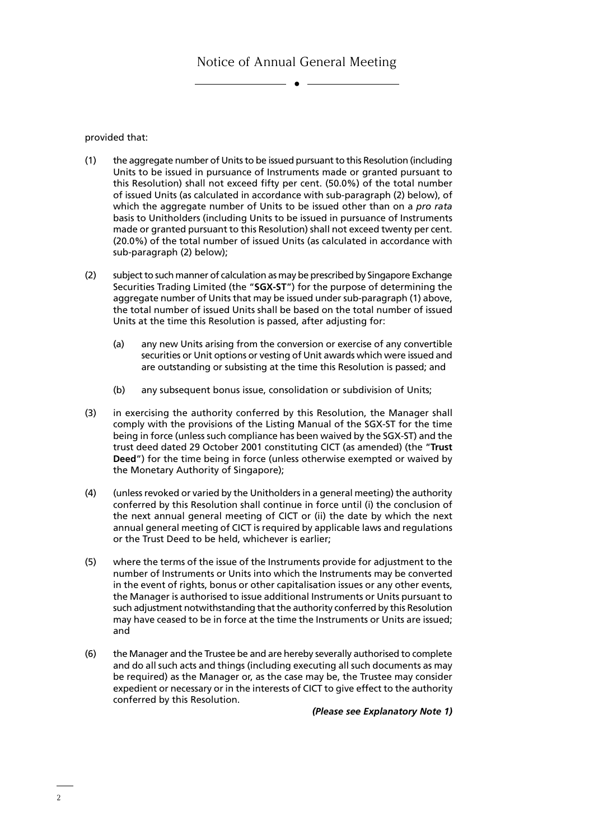provided that:

- (1) the aggregate number of Units to be issued pursuant to this Resolution (including Units to be issued in pursuance of Instruments made or granted pursuant to this Resolution) shall not exceed fifty per cent. (50.0%) of the total number of issued Units (as calculated in accordance with sub-paragraph (2) below), of which the aggregate number of Units to be issued other than on a *pro rata*  basis to Unitholders (including Units to be issued in pursuance of Instruments made or granted pursuant to this Resolution) shall not exceed twenty per cent. (20.0%) of the total number of issued Units (as calculated in accordance with sub-paragraph (2) below);
- (2) subject to such manner of calculation as may be prescribed by Singapore Exchange Securities Trading Limited (the "**SGX-ST**") for the purpose of determining the aggregate number of Units that may be issued under sub-paragraph (1) above, the total number of issued Units shall be based on the total number of issued Units at the time this Resolution is passed, after adjusting for:
	- (a) any new Units arising from the conversion or exercise of any convertible securities or Unit options or vesting of Unit awards which were issued and are outstanding or subsisting at the time this Resolution is passed; and
	- (b) any subsequent bonus issue, consolidation or subdivision of Units;
- (3) in exercising the authority conferred by this Resolution, the Manager shall comply with the provisions of the Listing Manual of the SGX-ST for the time being in force (unless such compliance has been waived by the SGX-ST) and the trust deed dated 29 October 2001 constituting CICT (as amended) (the "**Trust Deed**") for the time being in force (unless otherwise exempted or waived by the Monetary Authority of Singapore);
- (4) (unless revoked or varied by the Unitholders in a general meeting) the authority conferred by this Resolution shall continue in force until (i) the conclusion of the next annual general meeting of CICT or (ii) the date by which the next annual general meeting of CICT is required by applicable laws and regulations or the Trust Deed to be held, whichever is earlier;
- (5) where the terms of the issue of the Instruments provide for adjustment to the number of Instruments or Units into which the Instruments may be converted in the event of rights, bonus or other capitalisation issues or any other events, the Manager is authorised to issue additional Instruments or Units pursuant to such adjustment notwithstanding that the authority conferred by this Resolution may have ceased to be in force at the time the Instruments or Units are issued; and
- (6) the Manager and the Trustee be and are hereby severally authorised to complete and do all such acts and things (including executing all such documents as may be required) as the Manager or, as the case may be, the Trustee may consider expedient or necessary or in the interests of CICT to give effect to the authority conferred by this Resolution.

*(Please see Explanatory Note 1)*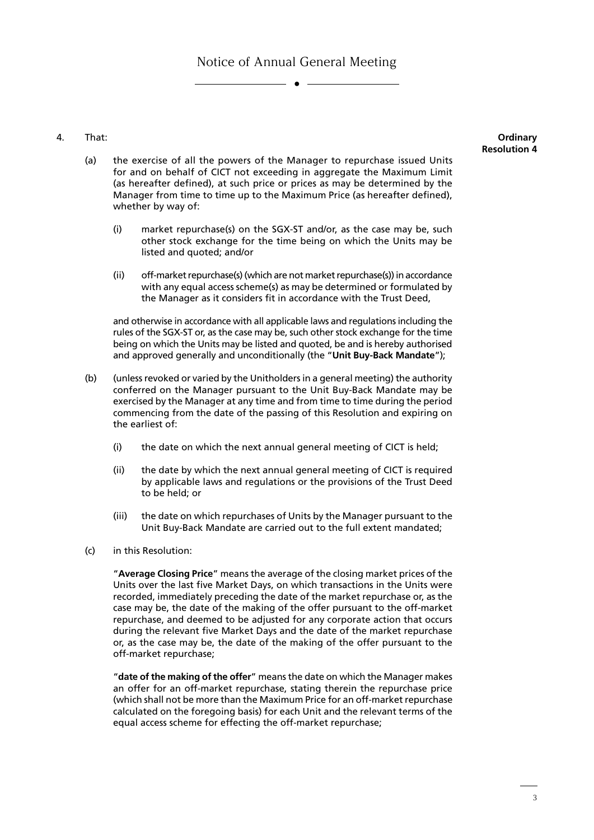4. That:

**Ordinary Resolution 4**

- (a) the exercise of all the powers of the Manager to repurchase issued Units for and on behalf of CICT not exceeding in aggregate the Maximum Limit (as hereafter defined), at such price or prices as may be determined by the Manager from time to time up to the Maximum Price (as hereafter defined), whether by way of:
	- (i) market repurchase(s) on the SGX-ST and/or, as the case may be, such other stock exchange for the time being on which the Units may be listed and quoted; and/or
	- (ii) off-market repurchase(s) (which are not market repurchase(s)) in accordance with any equal access scheme(s) as may be determined or formulated by the Manager as it considers fit in accordance with the Trust Deed,

and otherwise in accordance with all applicable laws and regulations including the rules of the SGX-ST or, as the case may be, such other stock exchange for the time being on which the Units may be listed and quoted, be and is hereby authorised and approved generally and unconditionally (the "**Unit Buy-Back Mandate**");

- (b) (unless revoked or varied by the Unitholders in a general meeting) the authority conferred on the Manager pursuant to the Unit Buy-Back Mandate may be exercised by the Manager at any time and from time to time during the period commencing from the date of the passing of this Resolution and expiring on the earliest of:
	- (i) the date on which the next annual general meeting of CICT is held;
	- (ii) the date by which the next annual general meeting of CICT is required by applicable laws and regulations or the provisions of the Trust Deed to be held; or
	- (iii) the date on which repurchases of Units by the Manager pursuant to the Unit Buy-Back Mandate are carried out to the full extent mandated;
- (c) in this Resolution:

"**Average Closing Price**" means the average of the closing market prices of the Units over the last five Market Days, on which transactions in the Units were recorded, immediately preceding the date of the market repurchase or, as the case may be, the date of the making of the offer pursuant to the off-market repurchase, and deemed to be adjusted for any corporate action that occurs during the relevant five Market Days and the date of the market repurchase or, as the case may be, the date of the making of the offer pursuant to the off-market repurchase;

"**date of the making of the offer**" means the date on which the Manager makes an offer for an off-market repurchase, stating therein the repurchase price (which shall not be more than the Maximum Price for an off-market repurchase calculated on the foregoing basis) for each Unit and the relevant terms of the equal access scheme for effecting the off-market repurchase;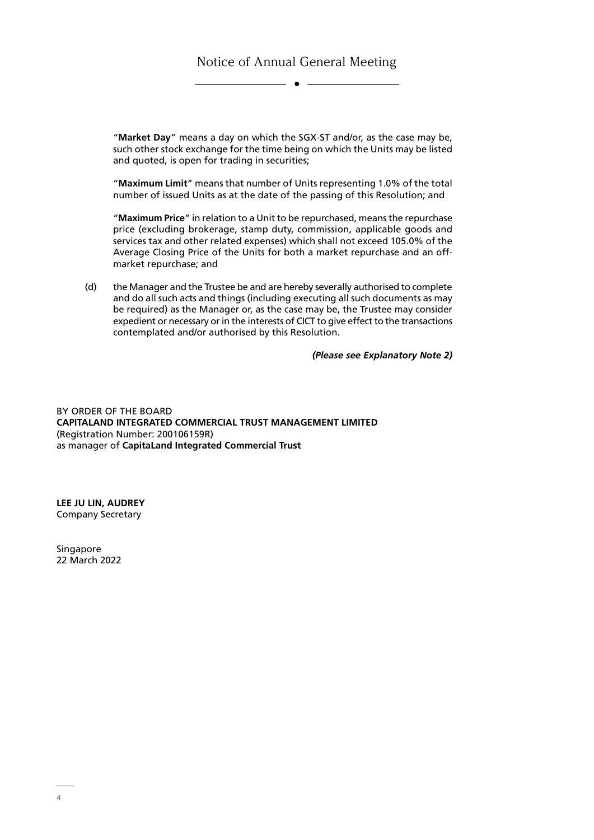"**Market Day**" means a day on which the SGX-ST and/or, as the case may be, such other stock exchange for the time being on which the Units may be listed and quoted, is open for trading in securities;

"**Maximum Limit**" means that number of Units representing 1.0% of the total number of issued Units as at the date of the passing of this Resolution; and

"**Maximum Price**" in relation to a Unit to be repurchased, means the repurchase price (excluding brokerage, stamp duty, commission, applicable goods and services tax and other related expenses) which shall not exceed 105.0% of the Average Closing Price of the Units for both a market repurchase and an offmarket repurchase; and

(d) the Manager and the Trustee be and are hereby severally authorised to complete and do all such acts and things (including executing all such documents as may be required) as the Manager or, as the case may be, the Trustee may consider expedient or necessary or in the interests of CICT to give effect to the transactions contemplated and/or authorised by this Resolution.

*(Please see Explanatory Note 2)*

BY ORDER OF THE BOARD **CAPITALAND INTEGRATED COMMERCIAL TRUST MANAGEMENT LIMITED** (Registration Number: 200106159R) as manager of **CapitaLand Integrated Commercial Trust**

**LEE JU LIN, AUDREY** Company Secretary

**Singapore** 22 March 2022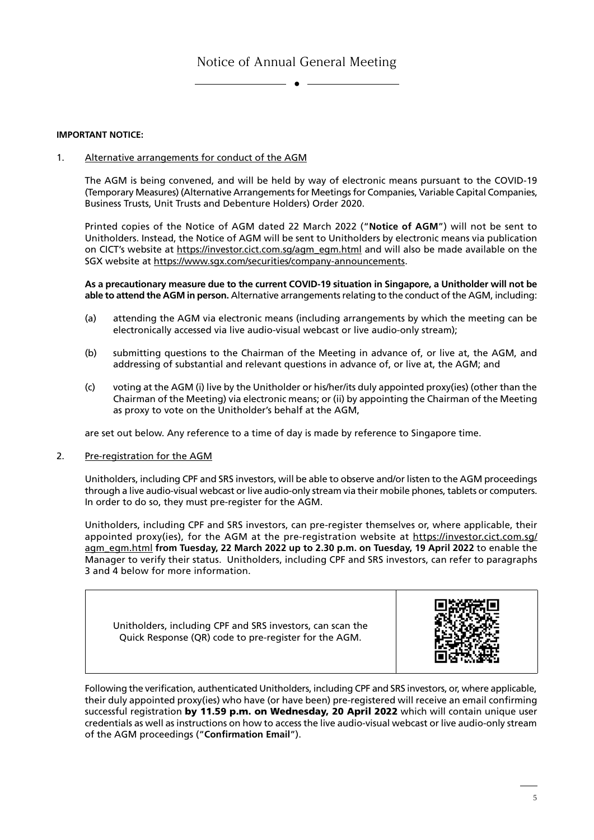#### **IMPORTANT NOTICE:**

1. Alternative arrangements for conduct of the AGM

The AGM is being convened, and will be held by way of electronic means pursuant to the COVID-19 (Temporary Measures) (Alternative Arrangements for Meetings for Companies, Variable Capital Companies, Business Trusts, Unit Trusts and Debenture Holders) Order 2020.

Printed copies of the Notice of AGM dated 22 March 2022 ("**Notice of AGM**") will not be sent to Unitholders. Instead, the Notice of AGM will be sent to Unitholders by electronic means via publication on CICT's website at https://investor.cict.com.sg/agm\_egm.html and will also be made available on the SGX website at https://www.sgx.com/securities/company-announcements.

**As a precautionary measure due to the current COVID-19 situation in Singapore, a Unitholder will not be able to attend the AGM in person.** Alternative arrangements relating to the conduct of the AGM, including:

- (a) attending the AGM via electronic means (including arrangements by which the meeting can be electronically accessed via live audio-visual webcast or live audio-only stream);
- (b) submitting questions to the Chairman of the Meeting in advance of, or live at, the AGM, and addressing of substantial and relevant questions in advance of, or live at, the AGM; and
- (c) voting at the AGM (i) live by the Unitholder or his/her/its duly appointed proxy(ies) (other than the Chairman of the Meeting) via electronic means; or (ii) by appointing the Chairman of the Meeting as proxy to vote on the Unitholder's behalf at the AGM,

are set out below. Any reference to a time of day is made by reference to Singapore time.

2. Pre-registration for the AGM

Unitholders, including CPF and SRS investors, will be able to observe and/or listen to the AGM proceedings through a live audio-visual webcast or live audio-only stream via their mobile phones, tablets or computers. In order to do so, they must pre-register for the AGM.

Unitholders, including CPF and SRS investors, can pre-register themselves or, where applicable, their appointed proxy(ies), for the AGM at the pre-registration website at https://investor.cict.com.sg/ agm\_egm.html from Tuesday, 22 March 2022 up to 2.30 p.m. on Tuesday, 19 April 2022 to enable the Manager to verify their status. Unitholders, including CPF and SRS investors, can refer to paragraphs 3 and 4 below for more information.

Unitholders, including CPF and SRS investors, can scan the Quick Response (QR) code to pre-register for the AGM.



Following the verification, authenticated Unitholders, including CPF and SRS investors, or, where applicable, their duly appointed proxy(ies) who have (or have been) pre-registered will receive an email confirming successful registration by 11.59 p.m. on Wednesday, 20 April 2022 which will contain unique user credentials as well as instructions on how to access the live audio-visual webcast or live audio-only stream of the AGM proceedings ("**Confirmation Email**").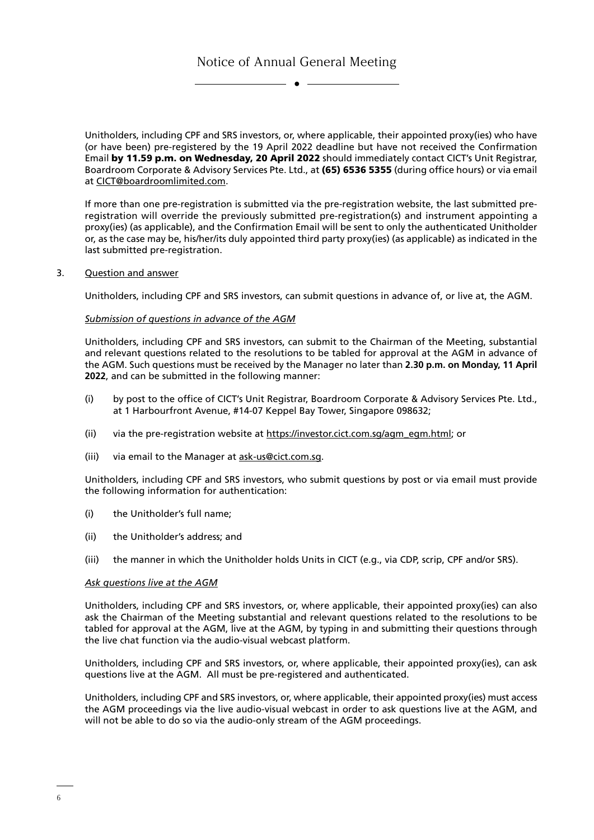Unitholders, including CPF and SRS investors, or, where applicable, their appointed proxy(ies) who have (or have been) pre-registered by the 19 April 2022 deadline but have not received the Confirmation Email by 11.59 p.m. on Wednesday, 20 April 2022 should immediately contact CICT's Unit Registrar, Boardroom Corporate & Advisory Services Pte. Ltd., at (65) 6536 5355 (during office hours) or via email at CICT@boardroomlimited.com.

If more than one pre-registration is submitted via the pre-registration website, the last submitted preregistration will override the previously submitted pre-registration(s) and instrument appointing a proxy(ies) (as applicable), and the Confirmation Email will be sent to only the authenticated Unitholder or, as the case may be, his/her/its duly appointed third party proxy(ies) (as applicable) as indicated in the last submitted pre-registration.

3. Question and answer

Unitholders, including CPF and SRS investors, can submit questions in advance of, or live at, the AGM.

#### *Submission of questions in advance of the AGM*

Unitholders, including CPF and SRS investors, can submit to the Chairman of the Meeting, substantial and relevant questions related to the resolutions to be tabled for approval at the AGM in advance of the AGM. Such questions must be received by the Manager no later than **2.30 p.m. on Monday, 11 April 2022**, and can be submitted in the following manner:

- (i) by post to the office of CICT's Unit Registrar, Boardroom Corporate & Advisory Services Pte. Ltd., at 1 Harbourfront Avenue, #14-07 Keppel Bay Tower, Singapore 098632;
- (ii) via the pre-registration website at https://investor.cict.com.sg/agm\_egm.html; or
- (iii) via email to the Manager at ask-us@cict.com.sg.

Unitholders, including CPF and SRS investors, who submit questions by post or via email must provide the following information for authentication:

- (i) the Unitholder's full name;
- (ii) the Unitholder's address; and
- (iii) the manner in which the Unitholder holds Units in CICT (e.g., via CDP, scrip, CPF and/or SRS).

#### *Ask questions live at the AGM*

Unitholders, including CPF and SRS investors, or, where applicable, their appointed proxy(ies) can also ask the Chairman of the Meeting substantial and relevant questions related to the resolutions to be tabled for approval at the AGM, live at the AGM, by typing in and submitting their questions through the live chat function via the audio-visual webcast platform.

Unitholders, including CPF and SRS investors, or, where applicable, their appointed proxy(ies), can ask questions live at the AGM. All must be pre-registered and authenticated.

Unitholders, including CPF and SRS investors, or, where applicable, their appointed proxy(ies) must access the AGM proceedings via the live audio-visual webcast in order to ask questions live at the AGM, and will not be able to do so via the audio-only stream of the AGM proceedings.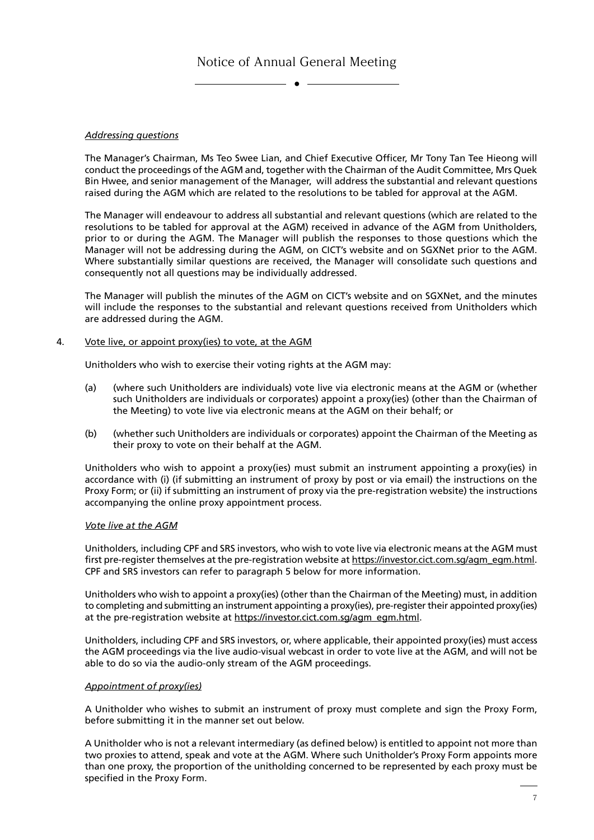### *Addressing questions*

The Manager's Chairman, Ms Teo Swee Lian, and Chief Executive Officer, Mr Tony Tan Tee Hieong will conduct the proceedings of the AGM and, together with the Chairman of the Audit Committee, Mrs Quek Bin Hwee, and senior management of the Manager, will address the substantial and relevant questions raised during the AGM which are related to the resolutions to be tabled for approval at the AGM.

The Manager will endeavour to address all substantial and relevant questions (which are related to the resolutions to be tabled for approval at the AGM) received in advance of the AGM from Unitholders, prior to or during the AGM. The Manager will publish the responses to those questions which the Manager will not be addressing during the AGM, on CICT's website and on SGXNet prior to the AGM. Where substantially similar questions are received, the Manager will consolidate such questions and consequently not all questions may be individually addressed.

The Manager will publish the minutes of the AGM on CICT's website and on SGXNet, and the minutes will include the responses to the substantial and relevant questions received from Unitholders which are addressed during the AGM.

#### 4. Vote live, or appoint proxy(ies) to vote, at the AGM

Unitholders who wish to exercise their voting rights at the AGM may:

- (a) (where such Unitholders are individuals) vote live via electronic means at the AGM or (whether such Unitholders are individuals or corporates) appoint a proxy(ies) (other than the Chairman of the Meeting) to vote live via electronic means at the AGM on their behalf; or
- (b) (whether such Unitholders are individuals or corporates) appoint the Chairman of the Meeting as their proxy to vote on their behalf at the AGM.

Unitholders who wish to appoint a proxy(ies) must submit an instrument appointing a proxy(ies) in accordance with (i) (if submitting an instrument of proxy by post or via email) the instructions on the Proxy Form; or (ii) if submitting an instrument of proxy via the pre-registration website) the instructions accompanying the online proxy appointment process.

#### *Vote live at the AGM*

Unitholders, including CPF and SRS investors, who wish to vote live via electronic means at the AGM must first pre-register themselves at the pre-registration website at https://investor.cict.com.sg/agm\_egm.html. CPF and SRS investors can refer to paragraph 5 below for more information.

Unitholders who wish to appoint a proxy(ies) (other than the Chairman of the Meeting) must, in addition to completing and submitting an instrument appointing a proxy(ies), pre-register their appointed proxy(ies) at the pre-registration website at https://investor.cict.com.sg/agm\_egm.html.

Unitholders, including CPF and SRS investors, or, where applicable, their appointed proxy(ies) must access the AGM proceedings via the live audio-visual webcast in order to vote live at the AGM, and will not be able to do so via the audio-only stream of the AGM proceedings.

### *Appointment of proxy(ies)*

A Unitholder who wishes to submit an instrument of proxy must complete and sign the Proxy Form, before submitting it in the manner set out below.

A Unitholder who is not a relevant intermediary (as defined below) is entitled to appoint not more than two proxies to attend, speak and vote at the AGM. Where such Unitholder's Proxy Form appoints more than one proxy, the proportion of the unitholding concerned to be represented by each proxy must be specified in the Proxy Form.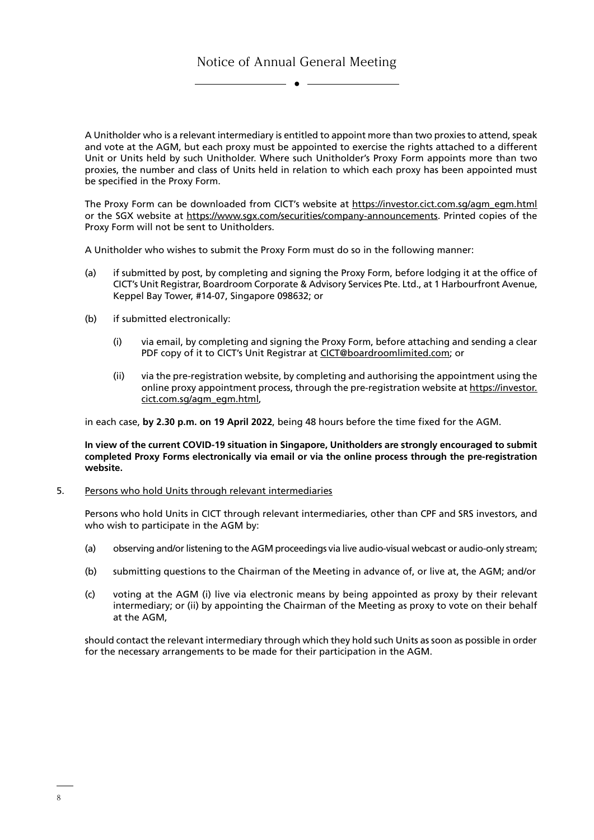A Unitholder who is a relevant intermediary is entitled to appoint more than two proxies to attend, speak and vote at the AGM, but each proxy must be appointed to exercise the rights attached to a different Unit or Units held by such Unitholder. Where such Unitholder's Proxy Form appoints more than two proxies, the number and class of Units held in relation to which each proxy has been appointed must be specified in the Proxy Form.

The Proxy Form can be downloaded from CICT's website at https://investor.cict.com.sg/agm\_egm.html or the SGX website at https://www.sgx.com/securities/company-announcements. Printed copies of the Proxy Form will not be sent to Unitholders.

A Unitholder who wishes to submit the Proxy Form must do so in the following manner:

- (a) if submitted by post, by completing and signing the Proxy Form, before lodging it at the office of CICT's Unit Registrar, Boardroom Corporate & Advisory Services Pte. Ltd., at 1 Harbourfront Avenue, Keppel Bay Tower, #14-07, Singapore 098632; or
- (b) if submitted electronically:
	- (i) via email, by completing and signing the Proxy Form, before attaching and sending a clear PDF copy of it to CICT's Unit Registrar at CICT@boardroomlimited.com; or
	- (ii) via the pre-registration website, by completing and authorising the appointment using the online proxy appointment process, through the pre-registration website at https://investor. cict.com.sg/agm\_egm.html,

in each case, **by 2.30 p.m. on 19 April 2022**, being 48 hours before the time fixed for the AGM.

**In view of the current COVID-19 situation in Singapore, Unitholders are strongly encouraged to submit completed Proxy Forms electronically via email or via the online process through the pre-registration website.**

5. Persons who hold Units through relevant intermediaries

Persons who hold Units in CICT through relevant intermediaries, other than CPF and SRS investors, and who wish to participate in the AGM by:

- (a) observing and/or listening to the AGM proceedings via live audio-visual webcast or audio-only stream;
- (b) submitting questions to the Chairman of the Meeting in advance of, or live at, the AGM; and/or
- (c) voting at the AGM (i) live via electronic means by being appointed as proxy by their relevant intermediary; or (ii) by appointing the Chairman of the Meeting as proxy to vote on their behalf at the AGM,

should contact the relevant intermediary through which they hold such Units as soon as possible in order for the necessary arrangements to be made for their participation in the AGM.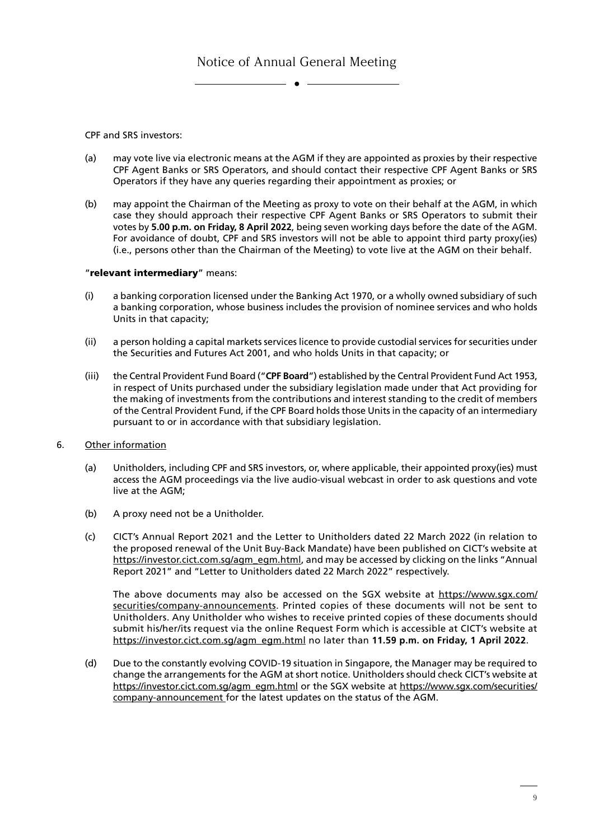CPF and SRS investors:

- (a) may vote live via electronic means at the AGM if they are appointed as proxies by their respective CPF Agent Banks or SRS Operators, and should contact their respective CPF Agent Banks or SRS Operators if they have any queries regarding their appointment as proxies; or
- (b) may appoint the Chairman of the Meeting as proxy to vote on their behalf at the AGM, in which case they should approach their respective CPF Agent Banks or SRS Operators to submit their votes by **5.00 p.m. on Friday, 8 April 2022**, being seven working days before the date of the AGM. For avoidance of doubt, CPF and SRS investors will not be able to appoint third party proxy(ies) (i.e., persons other than the Chairman of the Meeting) to vote live at the AGM on their behalf.

#### "relevant intermediary" means:

- (i) a banking corporation licensed under the Banking Act 1970, or a wholly owned subsidiary of such a banking corporation, whose business includes the provision of nominee services and who holds Units in that capacity;
- (ii) a person holding a capital markets services licence to provide custodial services for securities under the Securities and Futures Act 2001, and who holds Units in that capacity; or
- (iii) the Central Provident Fund Board ("**CPF Board**") established by the Central Provident Fund Act 1953, in respect of Units purchased under the subsidiary legislation made under that Act providing for the making of investments from the contributions and interest standing to the credit of members of the Central Provident Fund, if the CPF Board holds those Units in the capacity of an intermediary pursuant to or in accordance with that subsidiary legislation.
- 6. Other information
	- (a) Unitholders, including CPF and SRS investors, or, where applicable, their appointed proxy(ies) must access the AGM proceedings via the live audio-visual webcast in order to ask questions and vote live at the AGM;
	- (b) A proxy need not be a Unitholder.
	- (c) CICT's Annual Report 2021 and the Letter to Unitholders dated 22 March 2022 (in relation to the proposed renewal of the Unit Buy-Back Mandate) have been published on CICT's website at https://investor.cict.com.sg/agm\_egm.html, and may be accessed by clicking on the links "Annual Report 2021" and "Letter to Unitholders dated 22 March 2022" respectively.

The above documents may also be accessed on the SGX website at https://www.sgx.com/ securities/company-announcements. Printed copies of these documents will not be sent to Unitholders. Any Unitholder who wishes to receive printed copies of these documents should submit his/her/its request via the online Request Form which is accessible at CICT's website at https://investor.cict.com.sg/agm\_egm.html no later than **11.59 p.m. on Friday, 1 April 2022**.

(d) Due to the constantly evolving COVID-19 situation in Singapore, the Manager may be required to change the arrangements for the AGM at short notice. Unitholders should check CICT's website at https://investor.cict.com.sg/agm\_egm.html or the SGX website at https://www.sgx.com/securities/ company-announcement for the latest updates on the status of the AGM.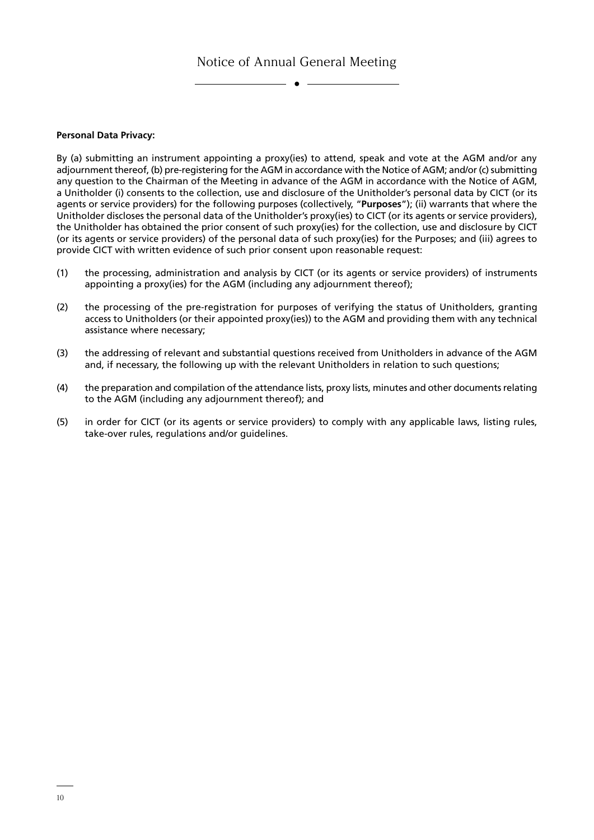$\bullet$   $-$ 

**Personal Data Privacy:**

By (a) submitting an instrument appointing a proxy(ies) to attend, speak and vote at the AGM and/or any adjournment thereof, (b) pre-registering for the AGM in accordance with the Notice of AGM; and/or (c) submitting any question to the Chairman of the Meeting in advance of the AGM in accordance with the Notice of AGM, a Unitholder (i) consents to the collection, use and disclosure of the Unitholder's personal data by CICT (or its agents or service providers) for the following purposes (collectively, "**Purposes**"); (ii) warrants that where the Unitholder discloses the personal data of the Unitholder's proxy(ies) to CICT (or its agents or service providers), the Unitholder has obtained the prior consent of such proxy(ies) for the collection, use and disclosure by CICT (or its agents or service providers) of the personal data of such proxy(ies) for the Purposes; and (iii) agrees to provide CICT with written evidence of such prior consent upon reasonable request:

- (1) the processing, administration and analysis by CICT (or its agents or service providers) of instruments appointing a proxy(ies) for the AGM (including any adjournment thereof);
- (2) the processing of the pre-registration for purposes of verifying the status of Unitholders, granting access to Unitholders (or their appointed proxy(ies)) to the AGM and providing them with any technical assistance where necessary;
- (3) the addressing of relevant and substantial questions received from Unitholders in advance of the AGM and, if necessary, the following up with the relevant Unitholders in relation to such questions;
- (4) the preparation and compilation of the attendance lists, proxy lists, minutes and other documents relating to the AGM (including any adjournment thereof); and
- (5) in order for CICT (or its agents or service providers) to comply with any applicable laws, listing rules, take-over rules, regulations and/or guidelines.